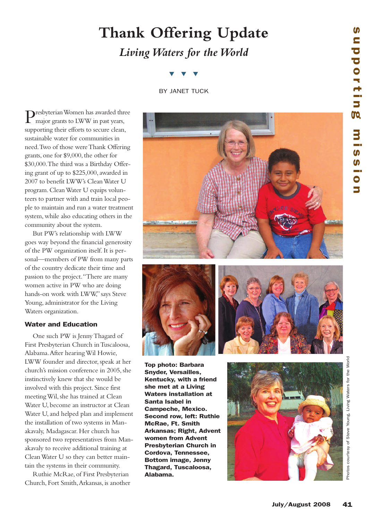# **Thank Offering Update** *LivingWaters for theWorld*

## ▼ ▼ ▼

BY JANET TUCK

Presbyterian Women has awarded three major grants to LWW in past years, supporting their efforts to secure clean, sustainable water for communities in need.Two of those wereThank Offering grants, one for \$9,000, the other for \$30,000.The third was a Birthday Offering grant of up to \$225,000,awarded in 2007 to benefit LWW's CleanWater U program. CleanWater U equips volunteers to partner with and train local people to maintain and run a water treatment system, while also educating others in the community about the system.

But PW's relationship with LWW goes way beyond the financial generosity of the PW organization itself.It is personal—members of PW from many parts of the country dedicate their time and passion to the project."There are many women active in PW who are doing hands-on work with LWW," says Steve Young, administrator for the Living Waters organization.

### **Water and Education**

One such PW is JennyThagard of First Presbyterian Church inTuscaloosa, Alabama.After hearingWil Howie, LWW founder and director, speak at her church's mission conference in 2005, she instinctively knew that she would be involved with this project. Since first meetingWil, she has trained at Clean Water U, become an instructor at Clean Water U, and helped plan and implement the installation of two systems in Manakavaly, Madagascar.Her church has sponsored two representatives from Manakavaly to receive additional training at CleanWater U so they can better maintain the systems in their community.

Ruthie McRae, of First Presbyterian Church, Fort Smith,Arkansas, is another







**Top photo: Barbara Snyder, Versailles, Kentucky, with a friend she met at a Living Waters installation at Santa Isabel in Campeche, Mexico. Second row, left: Ruthie McRae, Ft. Smith Arkansas; Right, Advent women from Advent Presbyterian Church in Cordova, Tennessee, Bottom image, Jenny Thagard, Tuscaloosa,**